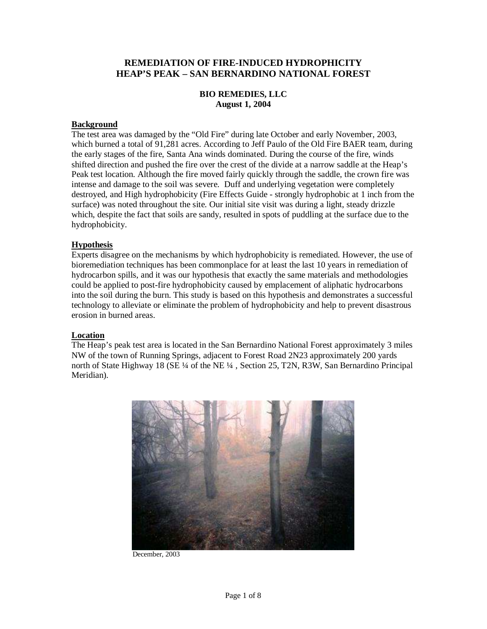## **REMEDIATION OF FIRE-INDUCED HYDROPHICITY HEAP'S PEAK – SAN BERNARDINO NATIONAL FOREST**

## **BIO REMEDIES, LLC August 1, 2004**

#### **Background**

The test area was damaged by the "Old Fire" during late October and early November, 2003, which burned a total of 91,281 acres. According to Jeff Paulo of the Old Fire BAER team, during the early stages of the fire, Santa Ana winds dominated. During the course of the fire, winds shifted direction and pushed the fire over the crest of the divide at a narrow saddle at the Heap's Peak test location. Although the fire moved fairly quickly through the saddle, the crown fire was intense and damage to the soil was severe. Duff and underlying vegetation were completely destroyed, and High hydrophobicity (Fire Effects Guide - strongly hydrophobic at 1 inch from the surface) was noted throughout the site. Our initial site visit was during a light, steady drizzle which, despite the fact that soils are sandy, resulted in spots of puddling at the surface due to the hydrophobicity.

## **Hypothesis**

Experts disagree on the mechanisms by which hydrophobicity is remediated. However, the use of bioremediation techniques has been commonplace for at least the last 10 years in remediation of hydrocarbon spills, and it was our hypothesis that exactly the same materials and methodologies could be applied to post-fire hydrophobicity caused by emplacement of aliphatic hydrocarbons into the soil during the burn. This study is based on this hypothesis and demonstrates a successful technology to alleviate or eliminate the problem of hydrophobicity and help to prevent disastrous erosion in burned areas.

#### **Location**

The Heap's peak test area is located in the San Bernardino National Forest approximately 3 miles NW of the town of Running Springs, adjacent to Forest Road 2N23 approximately 200 yards north of State Highway 18 (SE ¼ of the NE ¼, Section 25, T2N, R3W, San Bernardino Principal Meridian).



December, 2003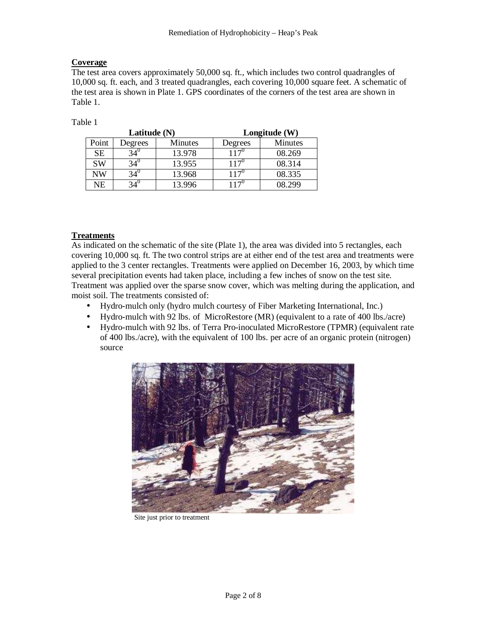## **Coverage**

The test area covers approximately 50,000 sq. ft., which includes two control quadrangles of 10,000 sq. ft. each, and 3 treated quadrangles, each covering 10,000 square feet. A schematic of the test area is shown in Plate 1. GPS coordinates of the corners of the test area are shown in Table 1.

Table 1

|           | Latitude (N) |                | Longitude $(W)$   |                |  |
|-----------|--------------|----------------|-------------------|----------------|--|
| Point     | Degrees      | <b>Minutes</b> | Degrees           | <b>Minutes</b> |  |
| <b>SE</b> |              | 13.978         | 1 1 $70$          | 08.269         |  |
| <b>SW</b> | 34՝          | 13.955         | 117 $\mathcal{F}$ | 08.314         |  |
| NW        | ٬4           | 13.968         | $.17^{\circ}$     | 08.335         |  |
| NΕ        |              | 3.996          | 17                | 18 299         |  |

## **Treatments**

As indicated on the schematic of the site (Plate 1), the area was divided into 5 rectangles, each covering 10,000 sq. ft. The two control strips are at either end of the test area and treatments were applied to the 3 center rectangles. Treatments were applied on December 16, 2003, by which time several precipitation events had taken place, including a few inches of snow on the test site. Treatment was applied over the sparse snow cover, which was melting during the application, and moist soil. The treatments consisted of:

- Hydro-mulch only (hydro mulch courtesy of Fiber Marketing International, Inc.)
- Hydro-mulch with 92 lbs. of MicroRestore (MR) (equivalent to a rate of 400 lbs./acre)
- Hydro-mulch with 92 lbs. of Terra Pro-inoculated MicroRestore (TPMR) (equivalent rate of 400 lbs./acre), with the equivalent of 100 lbs. per acre of an organic protein (nitrogen) source



Site just prior to treatment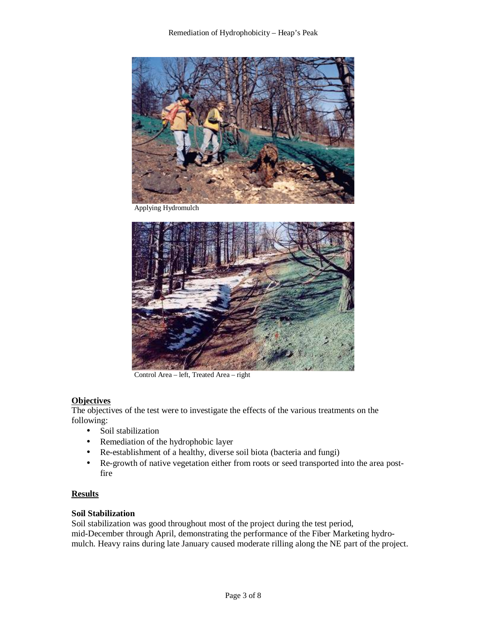

Applying Hydromulch



Control Area – left, Treated Area – right

## **Objectives**

The objectives of the test were to investigate the effects of the various treatments on the following:

- Soil stabilization
- Remediation of the hydrophobic layer
- Re-establishment of a healthy, diverse soil biota (bacteria and fungi)
- Re-growth of native vegetation either from roots or seed transported into the area postfire

#### **Results**

#### **Soil Stabilization**

Soil stabilization was good throughout most of the project during the test period, mid-December through April, demonstrating the performance of the Fiber Marketing hydromulch. Heavy rains during late January caused moderate rilling along the NE part of the project.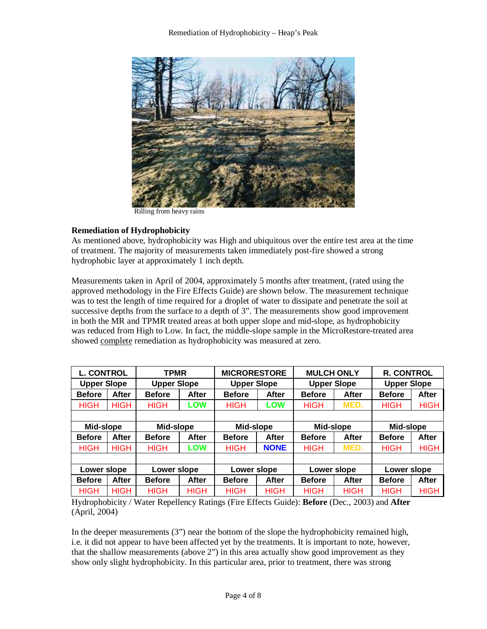

Rilling from heavy rains

## **Remediation of Hydrophobicity**

As mentioned above, hydrophobicity was High and ubiquitous over the entire test area at the time of treatment. The majority of measurements taken immediately post-fire showed a strong hydrophobic layer at approximately 1 inch depth.

Measurements taken in April of 2004, approximately 5 months after treatment, (rated using the approved methodology in the Fire Effects Guide) are shown below. The measurement technique was to test the length of time required for a droplet of water to dissipate and penetrate the soil at successive depths from the surface to a depth of 3". The measurements show good improvement in both the MR and TPMR treated areas at both upper slope and mid-slope, as hydrophobicity was reduced from High to Low. In fact, the middle-slope sample in the MicroRestore-treated area showed complete remediation as hydrophobicity was measured at zero.

| <b>L. CONTROL</b>  |              | <b>TPMR</b>        |              | <b>MICRORESTORE</b> |             | <b>MULCH ONLY</b>  |             | <b>R. CONTROL</b>  |              |
|--------------------|--------------|--------------------|--------------|---------------------|-------------|--------------------|-------------|--------------------|--------------|
| <b>Upper Slope</b> |              | <b>Upper Slope</b> |              | <b>Upper Slope</b>  |             | <b>Upper Slope</b> |             | <b>Upper Slope</b> |              |
| <b>Before</b>      | After        | <b>Before</b>      | <b>After</b> | <b>Before</b>       | After       | <b>Before</b>      | After       | <b>Before</b>      | <b>After</b> |
| <b>HIGH</b>        | <b>HIGH</b>  | <b>HIGH</b>        | LOW          | <b>HIGH</b>         | <b>LOW</b>  | <b>HIGH</b>        | MED.        | <b>HIGH</b>        | <b>HIGH</b>  |
|                    |              |                    |              |                     |             |                    |             |                    |              |
| Mid-slope          |              | Mid-slope          |              | Mid-slope           |             | Mid-slope          |             | Mid-slope          |              |
| <b>Before</b>      | <b>After</b> | <b>Before</b>      | <b>After</b> | <b>Before</b>       | After       | <b>Before</b>      | After       | <b>Before</b>      | <b>After</b> |
| HIGH               | <b>HIGH</b>  | <b>HIGH</b>        | <b>LOW</b>   | <b>HIGH</b>         | <b>NONE</b> | HIGH               | MED.        | <b>HIGH</b>        | <b>HIGH</b>  |
|                    |              |                    |              |                     |             |                    |             |                    |              |
| Lower slope        |              | Lower slope        |              | Lower slope         |             | Lower slope        |             | Lower slope        |              |
| <b>Before</b>      | After        | <b>Before</b>      | <b>After</b> | <b>Before</b>       | After       | <b>Before</b>      | After       | <b>Before</b>      | After        |
| <b>HIGH</b>        | <b>HIGH</b>  | <b>HIGH</b>        | <b>HIGH</b>  | <b>HIGH</b>         | <b>HIGH</b> | <b>HIGH</b>        | <b>HIGH</b> | <b>HIGH</b>        | <b>HIGH</b>  |

Hydrophobicity / Water Repellency Ratings (Fire Effects Guide): **Before** (Dec., 2003) and **After**  (April, 2004)

In the deeper measurements (3") near the bottom of the slope the hydrophobicity remained high, i.e. it did not appear to have been affected yet by the treatments. It is important to note, however, that the shallow measurements (above 2") in this area actually show good improvement as they show only slight hydrophobicity. In this particular area, prior to treatment, there was strong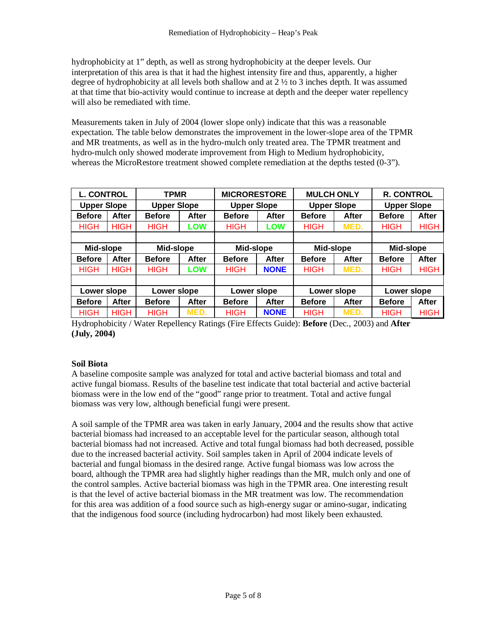hydrophobicity at 1" depth, as well as strong hydrophobicity at the deeper levels. Our interpretation of this area is that it had the highest intensity fire and thus, apparently, a higher degree of hydrophobicity at all levels both shallow and at  $2 \frac{1}{2}$  to 3 inches depth. It was assumed at that time that bio-activity would continue to increase at depth and the deeper water repellency will also be remediated with time.

Measurements taken in July of 2004 (lower slope only) indicate that this was a reasonable expectation. The table below demonstrates the improvement in the lower-slope area of the TPMR and MR treatments, as well as in the hydro-mulch only treated area. The TPMR treatment and hydro-mulch only showed moderate improvement from High to Medium hydrophobicity, whereas the MicroRestore treatment showed complete remediation at the depths tested (0-3").

| <b>L. CONTROL</b>  |              | <b>TPMR</b>        |              | <b>MICRORESTORE</b> |             | <b>MULCH ONLY</b>  |       | <b>R. CONTROL</b>  |             |
|--------------------|--------------|--------------------|--------------|---------------------|-------------|--------------------|-------|--------------------|-------------|
| <b>Upper Slope</b> |              | <b>Upper Slope</b> |              | <b>Upper Slope</b>  |             | <b>Upper Slope</b> |       | <b>Upper Slope</b> |             |
| <b>Before</b>      | After        | <b>Before</b>      | <b>After</b> | <b>Before</b>       | After       | <b>Before</b>      | After | <b>Before</b>      | After       |
| <b>HIGH</b>        | <b>HIGH</b>  | <b>HIGH</b>        | LOW          | <b>HIGH</b>         | LOW         | <b>HIGH</b>        | MED.  | <b>HIGH</b>        | <b>HIGH</b> |
|                    |              |                    |              |                     |             |                    |       |                    |             |
| Mid-slope          |              | Mid-slope          |              | Mid-slope           |             | Mid-slope          |       | Mid-slope          |             |
| <b>Before</b>      | <b>After</b> | <b>Before</b>      | <b>After</b> | <b>Before</b>       | After       | <b>Before</b>      | After | <b>Before</b>      | After       |
| <b>HIGH</b>        | <b>HIGH</b>  | <b>HIGH</b>        | <b>LOW</b>   | <b>HIGH</b>         | <b>NONE</b> | <b>HIGH</b>        | MED.  | <b>HIGH</b>        | <b>HIGH</b> |
|                    |              |                    |              |                     |             |                    |       |                    |             |
| Lower slope        |              | Lower slope        |              | Lower slope         |             | Lower slope        |       | Lower slope        |             |
| <b>Before</b>      | After        | <b>Before</b>      | After        | <b>Before</b>       | After       | <b>Before</b>      | After | <b>Before</b>      | After       |
| <b>HIGH</b>        | <b>HIGH</b>  | <b>HIGH</b>        | MED.         | <b>HIGH</b>         | <b>NONE</b> | <b>HIGH</b>        | MED.  | <b>HIGH</b>        | <b>HIGH</b> |

Hydrophobicity / Water Repellency Ratings (Fire Effects Guide): **Before** (Dec., 2003) and **After (July, 2004)**

## **Soil Biota**

A baseline composite sample was analyzed for total and active bacterial biomass and total and active fungal biomass. Results of the baseline test indicate that total bacterial and active bacterial biomass were in the low end of the "good" range prior to treatment. Total and active fungal biomass was very low, although beneficial fungi were present.

A soil sample of the TPMR area was taken in early January, 2004 and the results show that active bacterial biomass had increased to an acceptable level for the particular season, although total bacterial biomass had not increased. Active and total fungal biomass had both decreased, possible due to the increased bacterial activity. Soil samples taken in April of 2004 indicate levels of bacterial and fungal biomass in the desired range. Active fungal biomass was low across the board, although the TPMR area had slightly higher readings than the MR, mulch only and one of the control samples. Active bacterial biomass was high in the TPMR area. One interesting result is that the level of active bacterial biomass in the MR treatment was low. The recommendation for this area was addition of a food source such as high-energy sugar or amino-sugar, indicating that the indigenous food source (including hydrocarbon) had most likely been exhausted.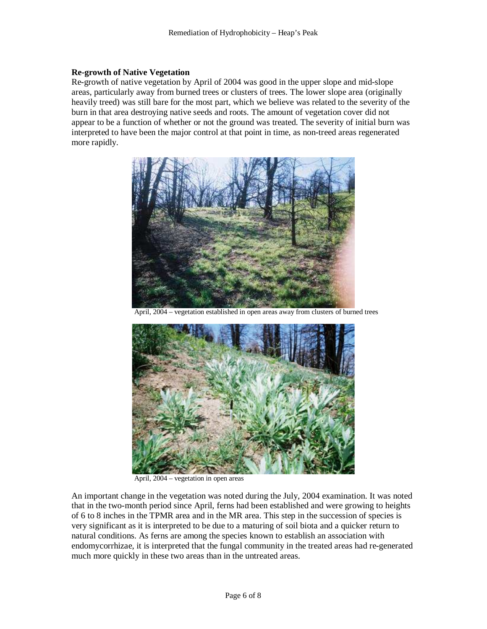#### **Re-growth of Native Vegetation**

Re-growth of native vegetation by April of 2004 was good in the upper slope and mid-slope areas, particularly away from burned trees or clusters of trees. The lower slope area (originally heavily treed) was still bare for the most part, which we believe was related to the severity of the burn in that area destroying native seeds and roots. The amount of vegetation cover did not appear to be a function of whether or not the ground was treated. The severity of initial burn was interpreted to have been the major control at that point in time, as non-treed areas regenerated more rapidly.



vegetation established in open areas away from clusters of burned trees



April, 2004 – vegetation in open areas

An important change in the vegetation was noted during the July, 2004 examination. It was noted that in the two-month period since April, ferns had been established and were growing to heights of 6 to 8 inches in the TPMR area and in the MR area. This step in the succession of species is very significant as it is interpreted to be due to a maturing of soil biota and a quicker return to natural conditions. As ferns are among the species known to establish an association with endomycorrhizae, it is interpreted that the fungal community in the treated areas had re-generated much more quickly in these two areas than in the untreated areas.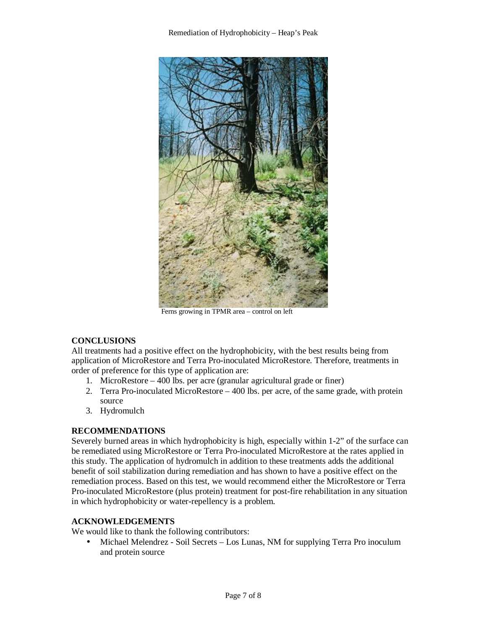

Ferns growing in TPMR area – control on left

## **CONCLUSIONS**

All treatments had a positive effect on the hydrophobicity, with the best results being from application of MicroRestore and Terra Pro-inoculated MicroRestore. Therefore, treatments in order of preference for this type of application are:

- 1. MicroRestore 400 lbs. per acre (granular agricultural grade or finer)
- 2. Terra Pro-inoculated MicroRestore 400 lbs. per acre, of the same grade, with protein source
- 3. Hydromulch

## **RECOMMENDATIONS**

Severely burned areas in which hydrophobicity is high, especially within 1-2" of the surface can be remediated using MicroRestore or Terra Pro-inoculated MicroRestore at the rates applied in this study. The application of hydromulch in addition to these treatments adds the additional benefit of soil stabilization during remediation and has shown to have a positive effect on the remediation process. Based on this test, we would recommend either the MicroRestore or Terra Pro-inoculated MicroRestore (plus protein) treatment for post-fire rehabilitation in any situation in which hydrophobicity or water-repellency is a problem.

## **ACKNOWLEDGEMENTS**

We would like to thank the following contributors:

• Michael Melendrez - Soil Secrets – Los Lunas, NM for supplying Terra Pro inoculum and protein source